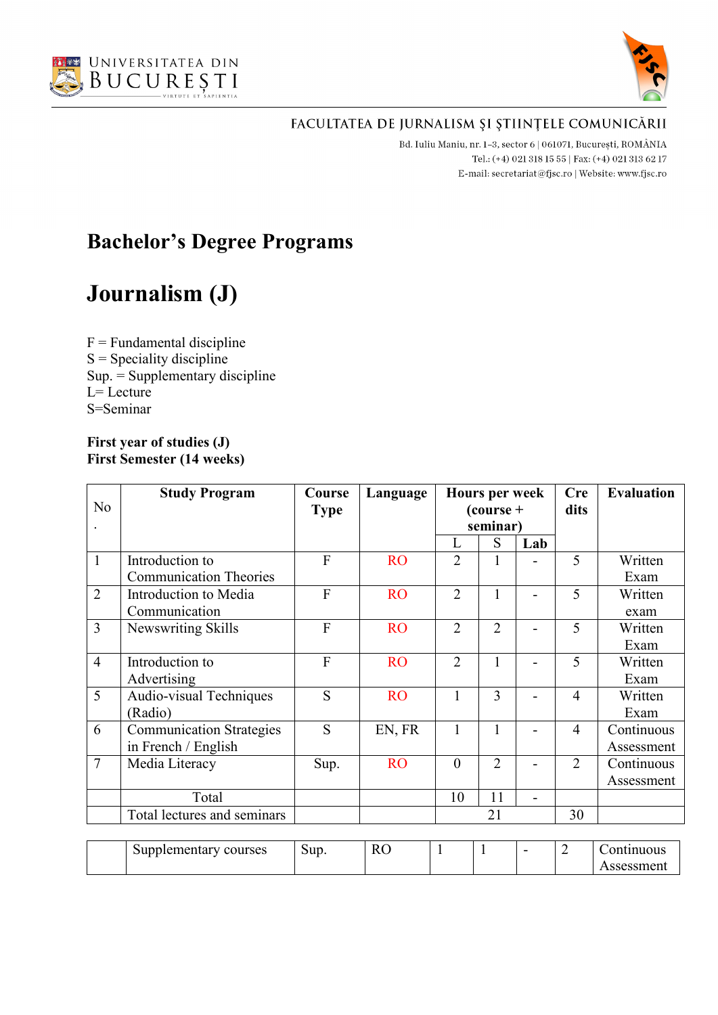



Bd. Iuliu Maniu, nr. 1-3, sector 6 | 061071, București, ROMÂNIA Tel.: (+4) 021 318 15 55 | Fax: (+4) 021 313 62 17 E-mail: secretariat@fjsc.ro | Website: www.fjsc.ro

# **Bachelor's Degree Programs**

# **Journalism (J)**

 $F =$  Fundamental discipline  $S =$  Speciality discipline Sup. = Supplementary discipline  $L=$  Lecture S=Seminar

#### **First year of studies (J) First Semester (14 weeks)**

|                | <b>Study Program</b>            | Course         | Language  |                | <b>Hours per week</b>   |     | <b>Cre</b>     | <b>Evaluation</b> |
|----------------|---------------------------------|----------------|-----------|----------------|-------------------------|-----|----------------|-------------------|
| No             |                                 | <b>Type</b>    |           |                | $\frac{1}{2}$ (course + |     | dits           |                   |
|                |                                 |                |           |                | seminar)                |     |                |                   |
|                |                                 |                |           | L              | S                       | Lab |                |                   |
| $\mathbf{1}$   | Introduction to                 | $\overline{F}$ | <b>RO</b> | $\overline{2}$ |                         |     | 5              | Written           |
|                | <b>Communication Theories</b>   |                |           |                |                         |     |                | Exam              |
| $\overline{2}$ | Introduction to Media           | $\overline{F}$ | <b>RO</b> | $\overline{2}$ | 1                       |     | 5              | Written           |
|                | Communication                   |                |           |                |                         |     |                | exam              |
| $\overline{3}$ | Newswriting Skills              | F              | <b>RO</b> | $\overline{2}$ | $\overline{2}$          |     | 5              | Written           |
|                |                                 |                |           |                |                         |     |                | Exam              |
| $\overline{4}$ | Introduction to                 | $\overline{F}$ | <b>RO</b> | $\overline{2}$ |                         |     | 5              | Written           |
|                | Advertising                     |                |           |                |                         |     |                | Exam              |
| 5              | Audio-visual Techniques         | S              | <b>RO</b> | $\mathbf{1}$   | 3                       |     | $\overline{4}$ | Written           |
|                | (Radio)                         |                |           |                |                         |     |                | Exam              |
| 6              | <b>Communication Strategies</b> | S              | EN, FR    | $\mathbf{1}$   | 1                       |     | $\overline{4}$ | Continuous        |
|                | in French / English             |                |           |                |                         |     |                | Assessment        |
| $\overline{7}$ | Media Literacy                  | Sup.           | <b>RO</b> | $\overline{0}$ | $\overline{2}$          |     | $\overline{2}$ | Continuous        |
|                |                                 |                |           |                |                         |     |                | Assessment        |
|                | Total                           |                |           | 10             | 11                      |     |                |                   |
|                | Total lectures and seminars     |                |           |                | 21                      |     | 30             |                   |
|                |                                 |                |           |                |                         |     |                |                   |
|                | Supplementary courses           | Sup.           | RO        |                |                         |     | $\overline{2}$ | Continuous        |

| courses<br>Supplementary<br>. . | $\sim$<br>Sup. | T.<br>IJ<br>в.<br>170 | <b>.</b> |  | - | muous<br>$\sim$ 10 $\sim$ |
|---------------------------------|----------------|-----------------------|----------|--|---|---------------------------|
|                                 |                |                       |          |  |   | ssment<br>יכת             |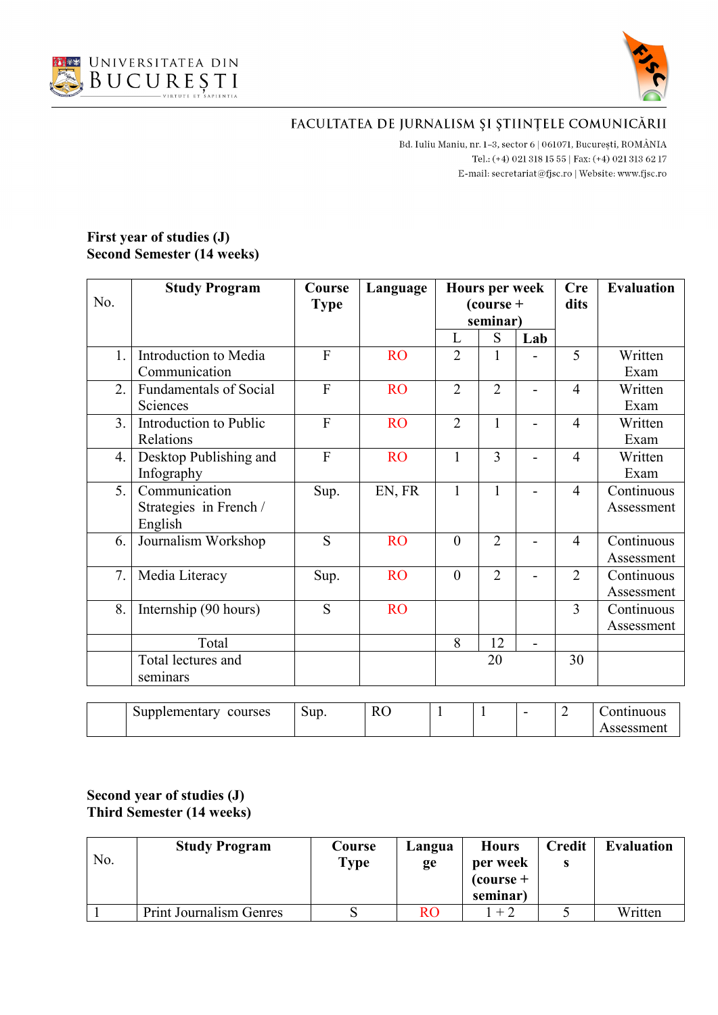



B<br/>d. Iuliu Maniu, nr. 1–3, sector 6 | 061071, București, ROMÂNIA Tel.: (+4) 021 318 15 55 | Fax: (+4) 021 313 62 17 E-mail:  $\texttt{secretariat@f}$ isc.ro | Website: www.fjsc.ro

#### **First year of studies (J) Second Semester (14 weeks)**

|                  | <b>Study Program</b>          | Course         | Language  | <b>Hours per week</b> |                         |                | <b>Cre</b>     | <b>Evaluation</b>              |
|------------------|-------------------------------|----------------|-----------|-----------------------|-------------------------|----------------|----------------|--------------------------------|
| No.              |                               | <b>Type</b>    |           |                       | $\frac{1}{2}$ (course + |                | dits           |                                |
|                  |                               |                |           |                       | seminar)                |                |                |                                |
|                  |                               |                |           | L                     | S                       | Lab            |                |                                |
| 1.               | Introduction to Media         | $\overline{F}$ | <b>RO</b> | $\overline{2}$        | 1                       |                | 5              | Written                        |
|                  | Communication                 |                |           |                       |                         |                |                | Exam                           |
| $\overline{2}$ . | <b>Fundamentals of Social</b> | $\overline{F}$ | <b>RO</b> | $\overline{2}$        | $\overline{2}$          |                | $\overline{4}$ | Written                        |
|                  | Sciences                      |                |           |                       |                         |                |                | Exam                           |
| 3.               | Introduction to Public        | $\overline{F}$ | <b>RO</b> | $\overline{2}$        | $\mathbf{1}$            |                | $\overline{4}$ | Written                        |
|                  | Relations                     |                |           |                       |                         |                |                | Exam                           |
| 4.               | Desktop Publishing and        | $\overline{F}$ | <b>RO</b> | $\mathbf{1}$          | 3                       | ÷              | $\overline{4}$ | Written                        |
|                  | Infography                    |                |           |                       |                         |                |                | Exam                           |
| 5.               | Communication                 | Sup.           | EN, FR    | $\mathbf{1}$          | 1                       |                | $\overline{4}$ | Continuous                     |
|                  | Strategies in French /        |                |           |                       |                         |                |                | Assessment                     |
|                  | English                       |                |           |                       |                         |                |                |                                |
| 6.               | Journalism Workshop           | S              | <b>RO</b> | $\overline{0}$        | $\overline{2}$          |                | $\overline{4}$ | $\overline{\text{Continuous}}$ |
|                  |                               |                |           |                       |                         |                |                | Assessment                     |
| 7.               | Media Literacy                | Sup.           | <b>RO</b> | $\overline{0}$        | $\overline{2}$          |                | $\overline{2}$ | Continuous                     |
|                  |                               |                |           |                       |                         |                |                | Assessment                     |
| 8.               | Internship (90 hours)         | S              | <b>RO</b> |                       |                         |                | 3              | Continuous                     |
|                  |                               |                |           |                       |                         |                |                | Assessment                     |
|                  | Total                         |                |           | 8                     | 12                      | $\overline{a}$ |                |                                |
|                  | Total lectures and            |                |           |                       | 20                      |                | 30             |                                |
|                  | seminars                      |                |           |                       |                         |                |                |                                |
|                  |                               |                |           |                       |                         |                |                |                                |
|                  | Supplementary courses         | Sup.           | <b>RO</b> | $\mathbf{1}$          | $\mathbf{1}$            |                | $\overline{2}$ | Continuous                     |
|                  |                               |                |           |                       |                         |                |                | Assessment                     |

#### **Second year of studies (J) Third Semester (14 weeks)**

| No. | <b>Study Program</b>           | Course<br>Type | Langua<br>ge | <b>Hours</b><br>per week<br>$\frac{1}{2}$ (course +<br>seminar) | <b>Credit</b> | <b>Evaluation</b> |
|-----|--------------------------------|----------------|--------------|-----------------------------------------------------------------|---------------|-------------------|
|     | <b>Print Journalism Genres</b> |                | <b>RO</b>    | $+2$                                                            |               | Written           |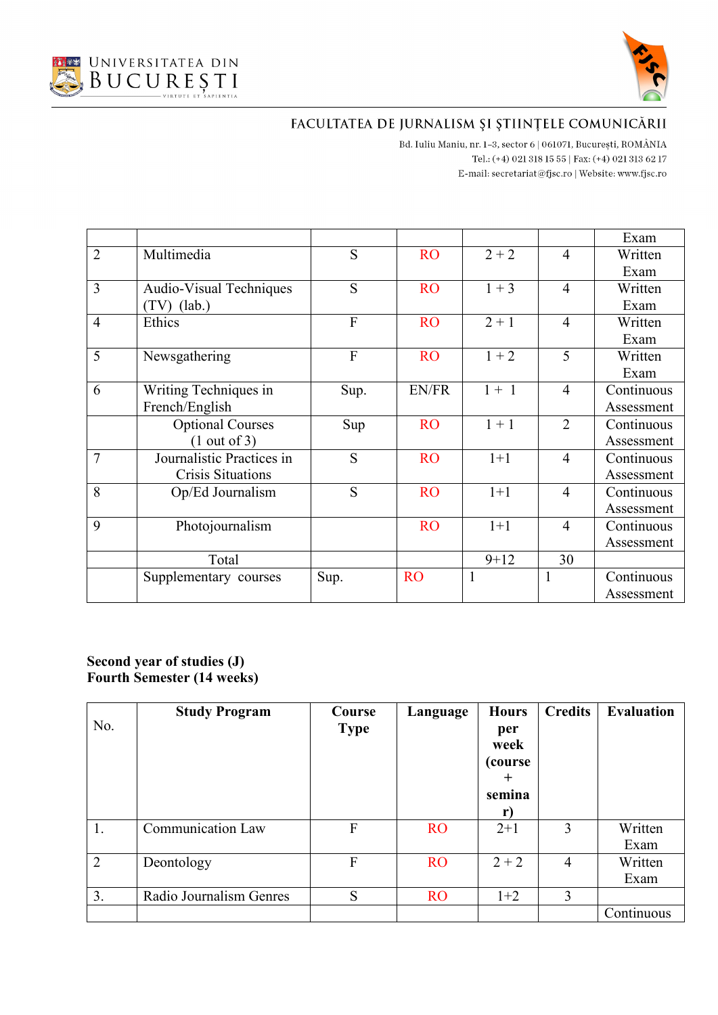



Bd. Iuliu Maniu, nr. 1-3, sector 6 | 061071, București, ROMÂNIA Tel.: (+4) 021 318 15 55 | Fax: (+4) 021 313 62 17 E-mail:  $\texttt{secretariat@f}$ isc.ro | Website: www.fjsc.ro

|                |                                |      |              |          |                | Exam       |
|----------------|--------------------------------|------|--------------|----------|----------------|------------|
| $\overline{2}$ | Multimedia                     | S    | <b>RO</b>    | $2 + 2$  | $\overline{4}$ | Written    |
|                |                                |      |              |          |                | Exam       |
| 3              | <b>Audio-Visual Techniques</b> | S    | <b>RO</b>    | $1 + 3$  | $\overline{4}$ | Written    |
|                | $(TV)$ (lab.)                  |      |              |          |                | Exam       |
| $\overline{4}$ | Ethics                         | F    | <b>RO</b>    | $2 + 1$  | $\overline{4}$ | Written    |
|                |                                |      |              |          |                | Exam       |
| 5              | Newsgathering                  | F    | <b>RO</b>    | $1 + 2$  | 5              | Written    |
|                |                                |      |              |          |                | Exam       |
| 6              | Writing Techniques in          | Sup. | <b>EN/FR</b> | $1 + 1$  | $\overline{4}$ | Continuous |
|                | French/English                 |      |              |          |                | Assessment |
|                | <b>Optional Courses</b>        | Sup  | <b>RO</b>    | $1 + 1$  | $\overline{2}$ | Continuous |
|                | $(1 \text{ out of } 3)$        |      |              |          |                | Assessment |
| $\overline{7}$ | Journalistic Practices in      | S    | <b>RO</b>    | $1+1$    | $\overline{4}$ | Continuous |
|                | Crisis Situations              |      |              |          |                | Assessment |
| 8              | Op/Ed Journalism               | S    | <b>RO</b>    | $1+1$    | 4              | Continuous |
|                |                                |      |              |          |                | Assessment |
| 9              | Photojournalism                |      | <b>RO</b>    | $1+1$    | $\overline{4}$ | Continuous |
|                |                                |      |              |          |                | Assessment |
|                | Total                          |      |              | $9 + 12$ | 30             |            |
|                | Supplementary courses          | Sup. | <b>RO</b>    | 1        | $\mathbf{1}$   | Continuous |
|                |                                |      |              |          |                | Assessment |

#### **Second year of studies (J) Fourth Semester (14 weeks)**

| No.            | <b>Study Program</b>     | Course<br><b>Type</b> | Language  | <b>Hours</b><br>per<br>week<br>(course)<br>$\pm$<br>semina<br>r) | <b>Credits</b> | <b>Evaluation</b> |
|----------------|--------------------------|-----------------------|-----------|------------------------------------------------------------------|----------------|-------------------|
| 1.             | <b>Communication Law</b> | F                     | <b>RO</b> | $2+1$                                                            | 3              | Written<br>Exam   |
| $\overline{2}$ | Deontology               | F                     | <b>RO</b> | $2 + 2$                                                          | $\overline{4}$ | Written<br>Exam   |
| 3.             | Radio Journalism Genres  | S                     | <b>RO</b> | $1+2$                                                            | 3              |                   |
|                |                          |                       |           |                                                                  |                | Continuous        |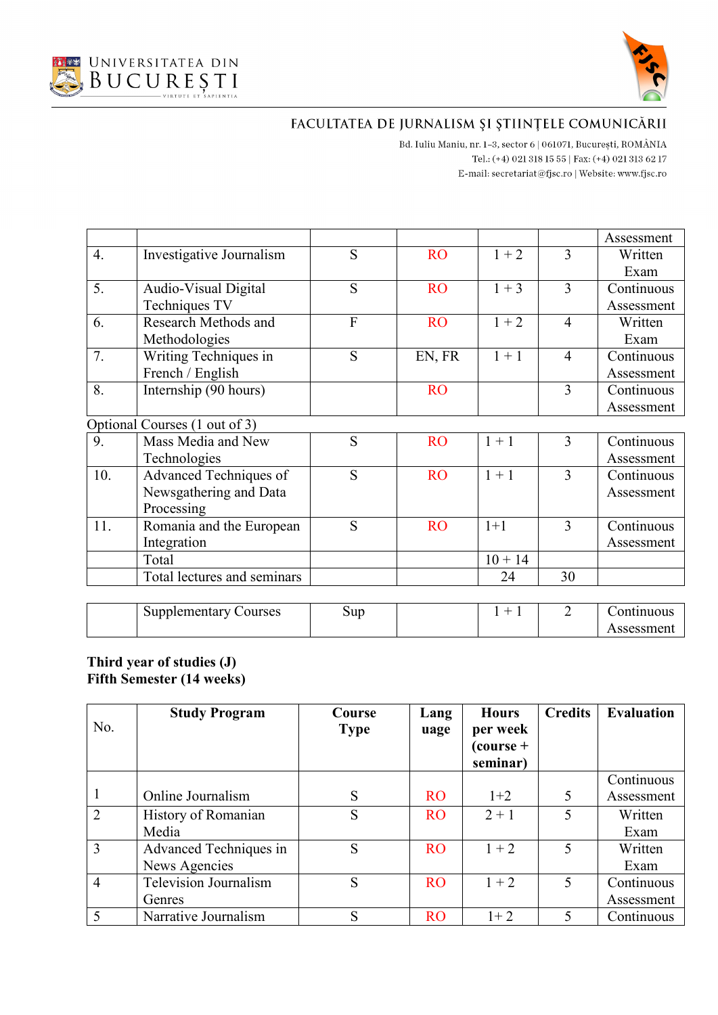



Assessment

# FACULTATEA DE JURNALISM ȘI ȘTIINȚELE COMUNICĂRII

B<br/>d. Iuliu Maniu, nr. 1–3, sector 6 | 061071, București, ROMÂNIA Tel.: (+4) 021 318 15 55 | Fax: (+4) 021 313 62 17 E-mail:  $\texttt{secretariat@f}$ isc.ro | Website: www.fjsc.ro

|                  |                               |                |           |           |                | Assessment |
|------------------|-------------------------------|----------------|-----------|-----------|----------------|------------|
| $\overline{4}$ . | Investigative Journalism      | S              | <b>RO</b> | $1 + 2$   | 3              | Written    |
|                  |                               |                |           |           |                | Exam       |
| 5.               | Audio-Visual Digital          | S              | <b>RO</b> | $1 + 3$   | 3              | Continuous |
|                  | Techniques TV                 |                |           |           |                | Assessment |
| 6.               | Research Methods and          | $\overline{F}$ | <b>RO</b> | $1 + 2$   | $\overline{4}$ | Written    |
|                  | Methodologies                 |                |           |           |                | Exam       |
| 7.               | Writing Techniques in         | S              | EN, FR    | $1 + 1$   | $\overline{4}$ | Continuous |
|                  | French / English              |                |           |           |                | Assessment |
| 8.               | Internship (90 hours)         |                | <b>RO</b> |           | 3              | Continuous |
|                  |                               |                |           |           |                | Assessment |
|                  | Optional Courses (1 out of 3) |                |           |           |                |            |
| 9.               | Mass Media and New            | S              | <b>RO</b> | $1 + 1$   | 3              | Continuous |
|                  | Technologies                  |                |           |           |                | Assessment |
| 10.              | Advanced Techniques of        | S              | <b>RO</b> | $1 + 1$   | 3              | Continuous |
|                  | Newsgathering and Data        |                |           |           |                | Assessment |
|                  | Processing                    |                |           |           |                |            |
| 11.              | Romania and the European      | S              | <b>RO</b> | $1+1$     | 3              | Continuous |
|                  | Integration                   |                |           |           |                | Assessment |
|                  | Total                         |                |           | $10 + 14$ |                |            |
|                  | Total lectures and seminars   |                |           | 24        | 30             |            |
|                  |                               |                |           |           |                |            |
|                  | <b>Supplementary Courses</b>  | Sup            |           | $1 + 1$   | $\overline{2}$ | Continuous |

#### **Third year of studies (J) Fifth Semester (14 weeks)**

| No.            | <b>Study Program</b>   | Course<br><b>Type</b> | Lang<br>uage | <b>Hours</b><br>per week<br>$\frac{1}{2}$ (course +<br>seminar) | <b>Credits</b> | <b>Evaluation</b> |
|----------------|------------------------|-----------------------|--------------|-----------------------------------------------------------------|----------------|-------------------|
|                |                        |                       |              |                                                                 |                | Continuous        |
| 1              | Online Journalism      | S                     | <b>RO</b>    | $1+2$                                                           | 5              | Assessment        |
| $\overline{2}$ | History of Romanian    | S                     | <b>RO</b>    | $2 + 1$                                                         | 5              | Written           |
|                | Media                  |                       |              |                                                                 |                | Exam              |
| $\overline{3}$ | Advanced Techniques in | S                     | <b>RO</b>    | $1 + 2$                                                         | 5              | Written           |
|                | News Agencies          |                       |              |                                                                 |                | Exam              |
| $\overline{4}$ | Television Journalism  | S                     | <b>RO</b>    | $1 + 2$                                                         | 5              | Continuous        |
|                | Genres                 |                       |              |                                                                 |                | Assessment        |
|                | Narrative Journalism   | S                     | <b>RO</b>    | $1+2$                                                           | 5              | Continuous        |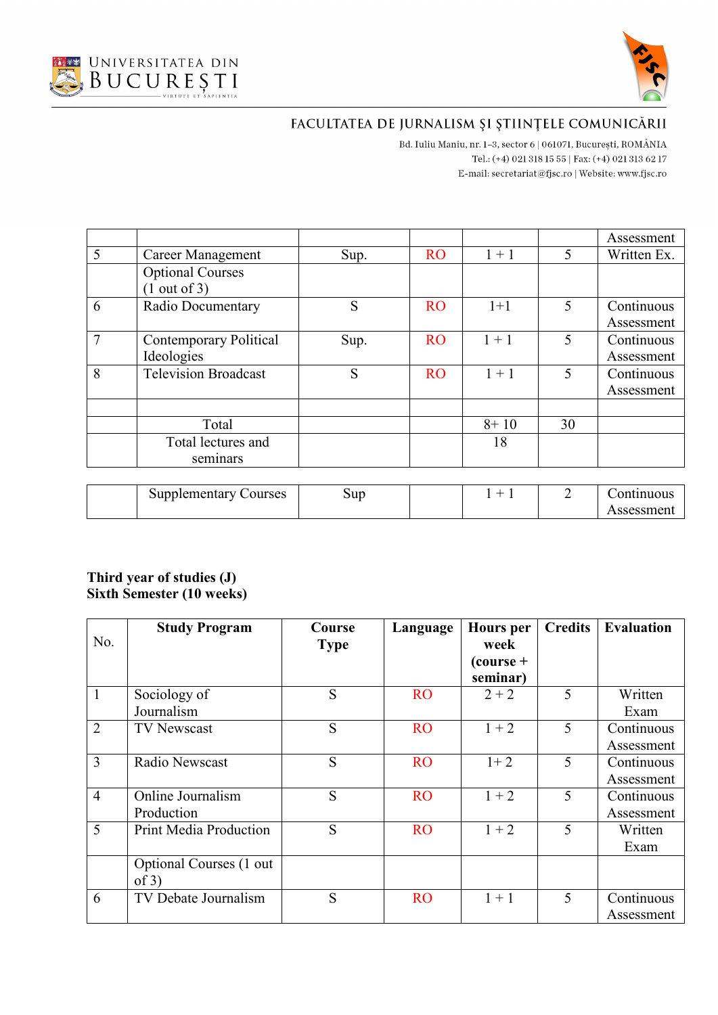



Bd. Iuliu Maniu, nr. 1-3, sector 6 | 061071, București, ROMÂNIA Tel.: (+4) 021 318 15 55 | Fax: (+4) 021 313 62 17 E-mail:  $\texttt{secretariat@f}$ isc.ro | Website: www.fjsc.ro

|                |                               |      |           |          |    | Assessment  |
|----------------|-------------------------------|------|-----------|----------|----|-------------|
| 5              | Career Management             | Sup. | <b>RO</b> | $1 + 1$  | 5  | Written Ex. |
|                | <b>Optional Courses</b>       |      |           |          |    |             |
|                | (1 out of 3)                  |      |           |          |    |             |
| 6              | Radio Documentary             | S    | <b>RO</b> | $1+1$    | 5  | Continuous  |
|                |                               |      |           |          |    | Assessment  |
| $\overline{7}$ | <b>Contemporary Political</b> | Sup. | <b>RO</b> | $1 + 1$  | 5  | Continuous  |
|                | Ideologies                    |      |           |          |    | Assessment  |
| 8              | <b>Television Broadcast</b>   | S    | <b>RO</b> | $1 + 1$  | 5  | Continuous  |
|                |                               |      |           |          |    | Assessment  |
|                |                               |      |           |          |    |             |
|                | Total                         |      |           | $8 + 10$ | 30 |             |
|                | Total lectures and            |      |           | 18       |    |             |
|                | seminars                      |      |           |          |    |             |
|                |                               |      |           |          |    |             |
|                | <b>Supplementary Courses</b>  | Sup  |           | $1 + 1$  | 2  | Continuous  |
|                |                               |      |           |          |    | Assessment  |

#### **Third year of studies (J) Sixth Semester (10 weeks)**

|                | <b>Study Program</b>          | Course      | Language  | <b>Hours</b> per        | <b>Credits</b> | <b>Evaluation</b> |
|----------------|-------------------------------|-------------|-----------|-------------------------|----------------|-------------------|
| No.            |                               | <b>Type</b> |           | week                    |                |                   |
|                |                               |             |           | $\frac{1}{2}$ (course + |                |                   |
|                |                               |             |           | seminar)                |                |                   |
| $\mathbf{1}$   | Sociology of                  | S           | <b>RO</b> | $2 + 2$                 | 5              | Written           |
|                | Journalism                    |             |           |                         |                | Exam              |
| $\overline{2}$ | <b>TV Newscast</b>            | S           | <b>RO</b> | $1 + 2$                 | 5              | Continuous        |
|                |                               |             |           |                         |                | Assessment        |
| 3              | Radio Newscast                | S           | <b>RO</b> | $1 + 2$                 | 5              | Continuous        |
|                |                               |             |           |                         |                | Assessment        |
| $\overline{4}$ | Online Journalism             | S           | <b>RO</b> | $1 + 2$                 | 5              | Continuous        |
|                | Production                    |             |           |                         |                | Assessment        |
| 5              | <b>Print Media Production</b> | S           | <b>RO</b> | $1 + 2$                 | 5              | Written           |
|                |                               |             |           |                         |                | Exam              |
|                | Optional Courses (1 out       |             |           |                         |                |                   |
|                | of 3)                         |             |           |                         |                |                   |
| 6              | TV Debate Journalism          | S           | <b>RO</b> | $1 + 1$                 | 5              | Continuous        |
|                |                               |             |           |                         |                | Assessment        |